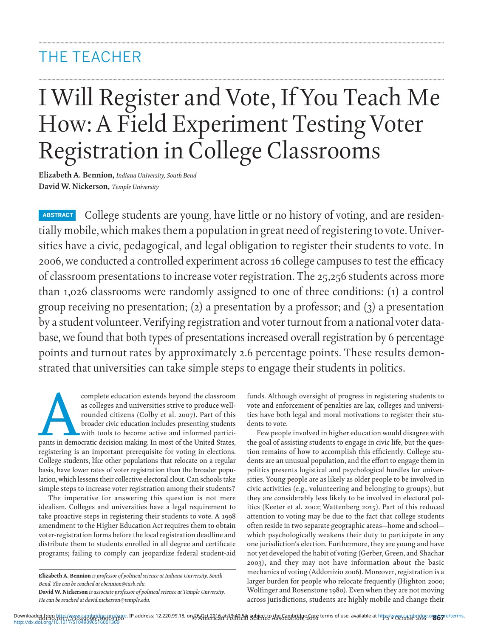# THE TEACHER

# I Will Register and Vote, If You Teach Me How: A Field Experiment Testing Voter Registration in College Classrooms

**.........................................................................................................................................................................................................................................................................................................................**

**.........................................................................................................................................................................................................................................................................................................................**

**Elizabeth A. Bennion, Indiana University, South Bend David W. Nickerson, Temple University** 

**ABSTRACT** College students are young, have little or no history of voting, and are residentially mobile, which makes them a population in great need of registering to vote. Universities have a civic, pedagogical, and legal obligation to register their students to vote. In 2006, we conducted a controlled experiment across 16 college campuses to test the efficacy of classroom presentations to increase voter registration. The 25,256 students across more than 1,026 classrooms were randomly assigned to one of three conditions: (1) a control group receiving no presentation; (2) a presentation by a professor; and (3) a presentation by a student volunteer. Verifying registration and voter turnout from a national voter database, we found that both types of presentations increased overall registration by 6 percentage points and turnout rates by approximately 2.6 percentage points. These results demonstrated that universities can take simple steps to engage their students in politics.

For complete education extends beyond the classroom<br>
as colleges and universities strive to produce well-<br>
rounded citizens (Colby et al. 2007). Part of this<br>
broader civic education includes presenting students<br>
with tool as colleges and universities strive to produce wellrounded citizens (Colby et al. 2007). Part of this broader civic education includes presenting students with tools to become active and informed particiregistering is an important prerequisite for voting in elections. College students, like other populations that relocate on a regular basis, have lower rates of voter registration than the broader population, which lessens their collective electoral clout. Can schools take simple steps to increase voter registration among their students?

 The imperative for answering this question is not mere idealism. Colleges and universities have a legal requirement to take proactive steps in registering their students to vote. A 1998 amendment to the Higher Education Act requires them to obtain voter-registration forms before the local registration deadline and distribute them to students enrolled in all degree and certificate programs; failing to comply can jeopardize federal student-aid

**Elizabeth A. Bennion** *is professor of political science at Indiana University, South Bend. She can be reached at ebennion@iusb.edu .* 

funds. Although oversight of progress in registering students to vote and enforcement of penalties are lax, colleges and universities have both legal and moral motivations to register their students to vote.

 Few people involved in higher education would disagree with the goal of assisting students to engage in civic life, but the question remains of how to accomplish this efficiently. College students are an unusual population, and the effort to engage them in politics presents logistical and psychological hurdles for universities. Young people are as likely as older people to be involved in civic activities (e.g., volunteering and belonging to groups), but they are considerably less likely to be involved in electoral politics (Keeter et al. 2002; Wattenberg 2015). Part of this reduced attention to voting may be due to the fact that college students often reside in two separate geographic areas—home and school which psychologically weakens their duty to participate in any one jurisdiction's election. Furthermore, they are young and have not yet developed the habit of voting (Gerber, Green, and Shachar 2003 ), and they may not have information about the basic mechanics of voting (Addonizio 2006). Moreover, registration is a larger burden for people who relocate frequently (Highton 2000; Wolfinger and Rosenstone 1980). Even when they are not moving across jurisdictions, students are highly mobile and change their

**David W. Nickerson** *is associate professor of political science at Temple University. He can be reached at david.nickerson@temple.edu .* 

Downloadedරf<u>ng ካዜን //SYWÆg</u>gb6idt6ogg/ଜ/e. IP address: 12.220.99.18, onਫ਼6አ<del>Qr[උ</del>ብႂLa]ተወገድ የሁኔዴርት በዚህ በተደረገ በተደረገው የተመረቀም terms of use, available at https/www.fappbridge.o**ng/sy**re/terms.<br>http://dx.doi.org/10.1017/S104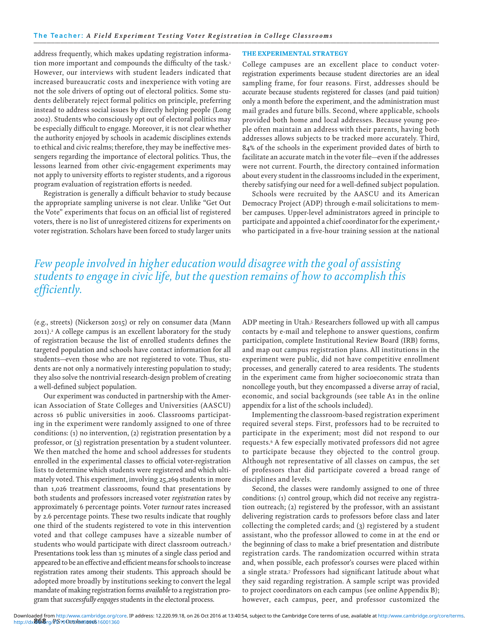address frequently, which makes updating registration information more important and compounds the difficulty of the task.<sup>1</sup> However, our interviews with student leaders indicated that increased bureaucratic costs and inexperience with voting are not the sole drivers of opting out of electoral politics. Some students deliberately reject formal politics on principle, preferring instead to address social issues by directly helping people (Long 2002). Students who consciously opt out of electoral politics may be especially difficult to engage. Moreover, it is not clear whether the authority enjoyed by schools in academic disciplines extends to ethical and civic realms; therefore, they may be ineffective messengers regarding the importance of electoral politics. Thus, the lessons learned from other civic-engagement experiments may not apply to university efforts to register students, and a rigorous program evaluation of registration efforts is needed.

Registration is generally a difficult behavior to study because the appropriate sampling universe is not clear. Unlike "Get Out the Vote" experiments that focus on an official list of registered voters, there is no list of unregistered citizens for experiments on voter registration. Scholars have been forced to study larger units

### THE EXPERIMENTAL STRATEGY

College campuses are an excellent place to conduct voterregistration experiments because student directories are an ideal sampling frame, for four reasons. First, addresses should be accurate because students registered for classes (and paid tuition) only a month before the experiment, and the administration must mail grades and future bills. Second, where applicable, schools provided both home and local addresses. Because young people often maintain an address with their parents, having both addresses allows subjects to be tracked more accurately. Third, 84% of the schools in the experiment provided dates of birth to facilitate an accurate match in the voter file-even if the addresses were not current. Fourth, the directory contained information about every student in the classrooms included in the experiment, thereby satisfying our need for a well-defined subject population.

Schools were recruited by the AASCU and its American Democracy Project (ADP) through e-mail solicitations to member campuses. Upper-level administrators agreed in principle to participate and appointed a chief coordinator for the experiment,<sup>4</sup> who participated in a five-hour training session at the national

Few people involved in higher education would disagree with the goal of assisting students to engage in civic life, but the question remains of how to accomplish this efficiently.

(e.g., streets) (Nickerson 2015) or rely on consumer data (Mann 2011).<sup>2</sup> A college campus is an excellent laboratory for the study of registration because the list of enrolled students defines the targeted population and schools have contact information for all students-even those who are not registered to vote. Thus, students are not only a normatively interesting population to study; they also solve the nontrivial research-design problem of creating a well-defined subject population.

Our experiment was conducted in partnership with the American Association of State Colleges and Universities (AASCU) across 16 public universities in 2006. Classrooms participating in the experiment were randomly assigned to one of three conditions: (1) no intervention, (2) registration presentation by a professor, or (3) registration presentation by a student volunteer. We then matched the home and school addresses for students enrolled in the experimental classes to official voter-registration lists to determine which students were registered and which ultimately voted. This experiment, involving 25,269 students in more than 1,026 treatment classrooms, found that presentations by both students and professors increased voter registration rates by approximately 6 percentage points. Voter turnout rates increased by 2.6 percentage points. These two results indicate that roughly one third of the students registered to vote in this intervention voted and that college campuses have a sizeable number of students who would participate with direct classroom outreach.<sup>3</sup> Presentations took less than 15 minutes of a single class period and appeared to be an effective and efficient means for schools to increase registration rates among their students. This approach should be adopted more broadly by institutions seeking to convert the legal mandate of making registration forms available to a registration program that successfully engages students in the electoral process.

ADP meeting in Utah.<sup>5</sup> Researchers followed up with all campus contacts by e-mail and telephone to answer questions, confirm participation, complete Institutional Review Board (IRB) forms, and map out campus registration plans. All institutions in the experiment were public, did not have competitive enrollment processes, and generally catered to area residents. The students in the experiment came from higher socioeconomic strata than noncollege youth, but they encompassed a diverse array of racial, economic, and social backgrounds (see table A1 in the online appendix for a list of the schools included).

Implementing the classroom-based registration experiment required several steps. First, professors had to be recruited to participate in the experiment; most did not respond to our requests.<sup>6</sup> A few especially motivated professors did not agree to participate because they objected to the control group. Although not representative of all classes on campus, the set of professors that did participate covered a broad range of disciplines and levels.

Second, the classes were randomly assigned to one of three conditions: (1) control group, which did not receive any registration outreach; (2) registered by the professor, with an assistant delivering registration cards to professors before class and later collecting the completed cards; and (3) registered by a student assistant, who the professor allowed to come in at the end or the beginning of class to make a brief presentation and distribute registration cards. The randomization occurred within strata and, when possible, each professor's courses were placed within a single strata.<sup>7</sup> Professors had significant latitude about what they said regarding registration. A sample script was provided to project coordinators on each campus (see online Appendix B); however, each campus, peer, and professor customized the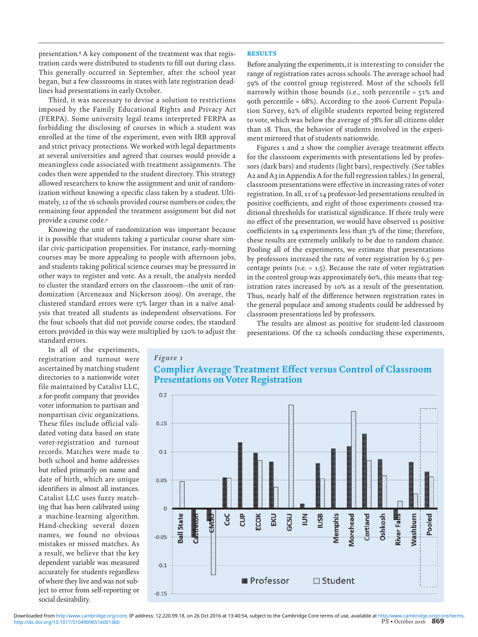presentation.<sup>8</sup> A key component of the treatment was that registration cards were distributed to students to fill out during class. This generally occurred in September, after the school year began, but a few classrooms in states with late registration deadlines had presentations in early October.

 Third, it was necessary to devise a solution to restrictions imposed by the Family Educational Rights and Privacy Act (FERPA). Some university legal teams interpreted FERPA as forbidding the disclosing of courses in which a student was enrolled at the time of the experiment, even with IRB approval and strict privacy protections. We worked with legal departments at several universities and agreed that courses would provide a meaningless code associated with treatment assignments. The codes then were appended to the student directory. This strategy allowed researchers to know the assignment and unit of randomization without knowing a specific class taken by a student. Ultimately, 12 of the 16 schools provided course numbers or codes; the remaining four appended the treatment assignment but did not provide a course code.<sup>9</sup>

 Knowing the unit of randomization was important because it is possible that students taking a particular course share similar civic-participation propensities. For instance, early-morning courses may be more appealing to people with afternoon jobs, and students taking political science courses may be pressured in other ways to register and vote. As a result, the analysis needed to cluster the standard errors on the classroom—the unit of randomization (Arceneaux and Nickerson 2009). On average, the clustered standard errors were 17% larger than in a naïve analysis that treated all students as independent observations. For the four schools that did not provide course codes, the standard errors provided in this way were multiplied by 120% to adjust the standard errors.

 **RESULTS** 

**.........................................................................................................................................................................................................................................................................................................................**

 Before analyzing the experiments, it is interesting to consider the range of registration rates across schools. The average school had 59% of the control group registered. Most of the schools fell narrowly within those bounds (i.e., 10th percentile = 51% and 90th percentile = 68%). According to the 2006 Current Population Survey, 62% of eligible students reported being registered to vote, which was below the average of 78% for all citizens older than 18. Thus, the behavior of students involved in the experiment mirrored that of students nationwide.

Figures 1 and 2 show the complier average treatment effects for the classroom experiments with presentations led by professors (dark bars) and students (light bars), respectively. (See tables A2 and A3 in Appendix A for the full regression tables.) In general, classroom presentations were effective in increasing rates of voter registration. In all, 11 of 14 professor-led presentations resulted in positive coefficients, and eight of those experiments crossed traditional thresholds for statistical significance. If there truly were no effect of the presentation, we would have observed 11 positive coefficients in 14 experiments less than 3% of the time; therefore, these results are extremely unlikely to be due to random chance. Pooling all of the experiments, we estimate that presentations by professors increased the rate of voter registration by 6.5 percentage points (s.e. = 1.5). Because the rate of voter registration in the control group was approximately 60%, this means that registration rates increased by 10% as a result of the presentation. Thus, nearly half of the difference between registration rates in the general populace and among students could be addressed by classroom presentations led by professors.

 The results are almost as positive for student-led classroom presentations. Of the 12 schools conducting these experiments,

 In all of the experiments, registration and turnout were ascertained by matching student directories to a nationwide voter file maintained by Catalist LLC, a for-profit company that provides voter information to partisan and nonpartisan civic organizations. These files include official validated voting data based on state voter-registration and turnout records. Matches were made to both school and home addresses but relied primarily on name and date of birth, which are unique identifiers in almost all instances. Catalist LLC uses fuzzy matching that has been calibrated using a machine-learning algorithm. Hand-checking several dozen names, we found no obvious mistakes or missed matches. As a result, we believe that the key dependent variable was measured accurately for students regardless of where they live and was not subject to error from self-reporting or social desirability.



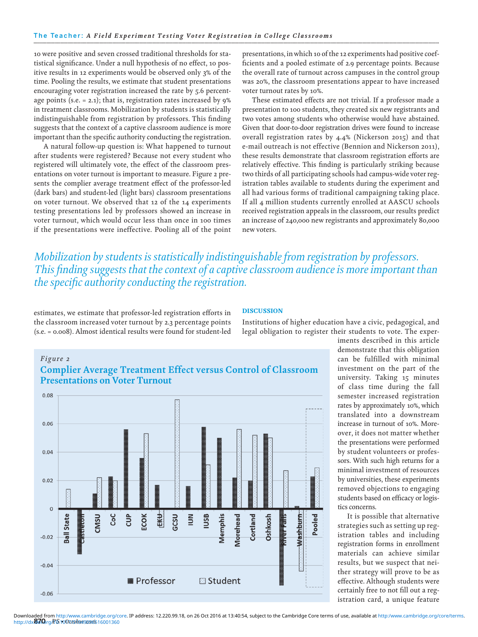10 were positive and seven crossed traditional thresholds for statistical significance. Under a null hypothesis of no effect, 10 positive results in 12 experiments would be observed only 3% of the time. Pooling the results, we estimate that student presentations encouraging voter registration increased the rate by 5.6 percentage points (s.e. = 2.1); that is, registration rates increased by 9% in treatment classrooms. Mobilization by students is statistically indistinguishable from registration by professors. This finding suggests that the context of a captive classroom audience is more important than the specific authority conducting the registration.

 A natural follow-up question is: What happened to turnout after students were registered? Because not every student who registered will ultimately vote, the effect of the classroom presentations on voter turnout is important to measure. Figure 2 presents the complier average treatment effect of the professor-led (dark bars) and student-led (light bars) classroom presentations on voter turnout. We observed that 12 of the 14 experiments testing presentations led by professors showed an increase in voter turnout, which would occur less than once in 100 times if the presentations were ineffective. Pooling all of the point presentations, in which 10 of the 12 experiments had positive coefficients and a pooled estimate of 2.9 percentage points. Because the overall rate of turnout across campuses in the control group was 20%, the classroom presentations appear to have increased voter turnout rates by 10%.

These estimated effects are not trivial. If a professor made a presentation to 100 students, they created six new registrants and two votes among students who otherwise would have abstained. Given that door-to-door registration drives were found to increase overall registration rates by  $4.4\%$  (Nickerson 2015) and that e-mail outreach is not effective (Bennion and Nickerson 2011), these results demonstrate that classroom registration efforts are relatively effective. This finding is particularly striking because two thirds of all participating schools had campus-wide voter registration tables available to students during the experiment and all had various forms of traditional campaigning taking place. If all 4 million students currently enrolled at AASCU schools received registration appeals in the classroom, our results predict an increase of 240,000 new registrants and approximately 80,000 new voters.

 *Mobilization by students is statistically indistinguishable from registration by professors.*  This finding suggests that the context of a captive classroom audience is more important than *the specific authority conducting the registration.* 

estimates, we estimate that professor-led registration efforts in the classroom increased voter turnout by 2.3 percentage points (s.e. = 0.008). Almost identical results were found for student-led

# **DISCUSSION**

 Institutions of higher education have a civic, pedagogical, and legal obligation to register their students to vote. The exper-

# $Figure 2$





demonstrate that this obligation can be fulfilled with minimal investment on the part of the university. Taking 15 minutes of class time during the fall semester increased registration rates by approximately 10%, which translated into a downstream increase in turnout of 10%. Moreover, it does not matter whether the presentations were performed by student volunteers or professors. With such high returns for a minimal investment of resources by universities, these experiments removed objections to engaging students based on efficacy or logistics concerns.

iments described in this article

 It is possible that alternative strategies such as setting up registration tables and including registration forms in enrollment materials can achieve similar results, but we suspect that neither strategy will prove to be as effective. Although students were certainly free to not fill out a registration card, a unique feature